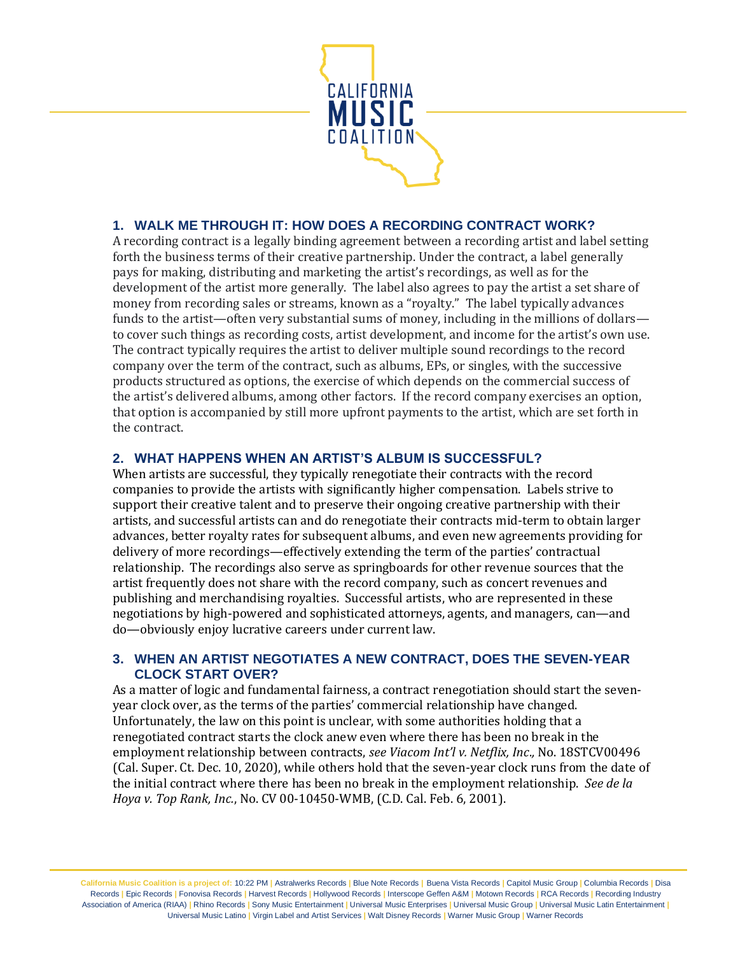

# **1. WALK ME THROUGH IT: HOW DOES A RECORDING CONTRACT WORK?**

A recording contract is a legally binding agreement between a recording artist and label setting forth the business terms of their creative partnership. Under the contract, a label generally pays for making, distributing and marketing the artist's recordings, as well as for the development of the artist more generally. The label also agrees to pay the artist a set share of money from recording sales or streams, known as a "royalty." The label typically advances funds to the artist—often very substantial sums of money, including in the millions of dollars to cover such things as recording costs, artist development, and income for the artist's own use. The contract typically requires the artist to deliver multiple sound recordings to the record company over the term of the contract, such as albums, EPs, or singles, with the successive products structured as options, the exercise of which depends on the commercial success of the artist's delivered albums, among other factors. If the record company exercises an option, that option is accompanied by still more upfront payments to the artist, which are set forth in the contract.

# **2. WHAT HAPPENS WHEN AN ARTIST'S ALBUM IS SUCCESSFUL?**

When artists are successful, they typically renegotiate their contracts with the record companies to provide the artists with significantly higher compensation. Labels strive to support their creative talent and to preserve their ongoing creative partnership with their artists, and successful artists can and do renegotiate their contracts mid-term to obtain larger advances, better royalty rates for subsequent albums, and even new agreements providing for delivery of more recordings—effectively extending the term of the parties' contractual relationship. The recordings also serve as springboards for other revenue sources that the artist frequently does not share with the record company, such as concert revenues and publishing and merchandising royalties. Successful artists, who are represented in these negotiations by high-powered and sophisticated attorneys, agents, and managers, can—and do—obviously enjoy lucrative careers under current law.

### **3. WHEN AN ARTIST NEGOTIATES A NEW CONTRACT, DOES THE SEVEN-YEAR CLOCK START OVER?**

As a matter of logic and fundamental fairness, a contract renegotiation should start the sevenyear clock over, as the terms of the parties' commercial relationship have changed. Unfortunately, the law on this point is unclear, with some authorities holding that a renegotiated contract starts the clock anew even where there has been no break in the employment relationship between contracts, *see Viacom Int'l v. Netflix, Inc*.*,* No. 18STCV00496 (Cal. Super. Ct. Dec. 10, 2020), while others hold that the seven-year clock runs from the date of the initial contract where there has been no break in the employment relationship. *See de la Hoya v. Top Rank, Inc.*, No. CV 00-10450-WMB, (C.D. Cal. Feb. 6, 2001).

**California Music Coalition is a project of:** 10:22 PM **|** Astralwerks Records **|** Blue Note Records **|** Buena Vista Records **|** Capitol Music Group **|** Columbia Records **|** Disa Records **|** Epic Records **|** Fonovisa Records **|** Harvest Records **|** Hollywood Records **|** Interscope Geffen A&M **|** Motown Records **|** RCA Records **|** Recording Industry Association of America (RIAA) **|** Rhino Records **|** Sony Music Entertainment **|** Universal Music Enterprises **|** Universal Music Group **|** Universal Music Latin Entertainment **|**  Universal Music Latino **|** Virgin Label and Artist Services **|** Walt Disney Records **|** Warner Music Group **|** Warner Records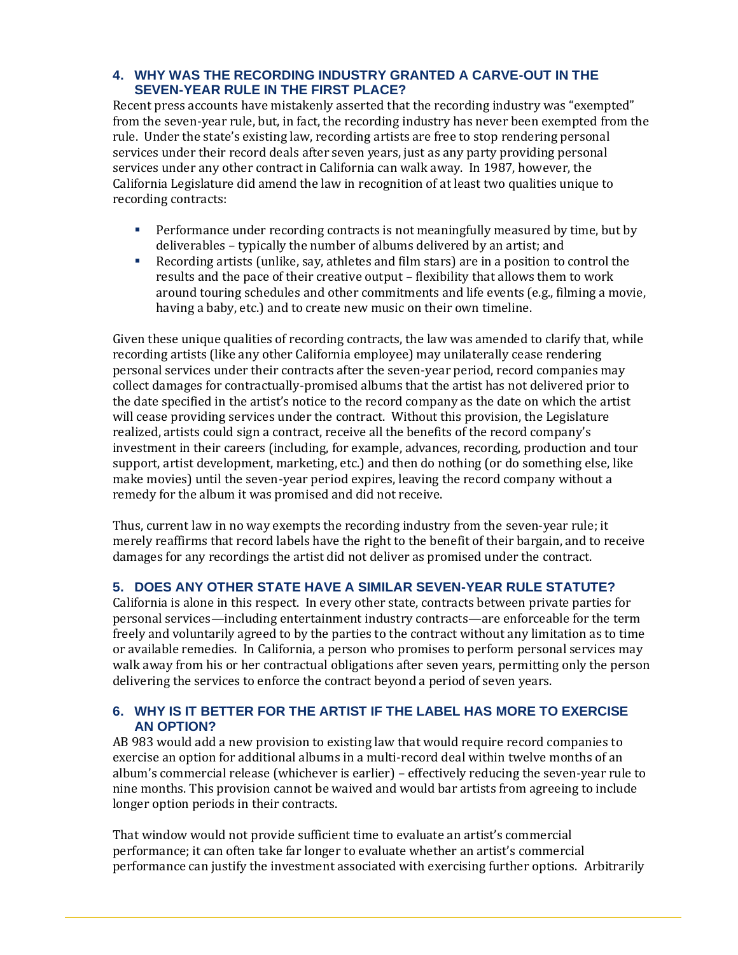# **4. WHY WAS THE RECORDING INDUSTRY GRANTED A CARVE-OUT IN THE SEVEN-YEAR RULE IN THE FIRST PLACE?**

Recent press accounts have mistakenly asserted that the recording industry was "exempted" from the seven-year rule, but, in fact, the recording industry has never been exempted from the rule. Under the state's existing law, recording artists are free to stop rendering personal services under their record deals after seven years, just as any party providing personal services under any other contract in California can walk away. In 1987, however, the California Legislature did amend the law in recognition of at least two qualities unique to recording contracts:

- **•** Performance under recording contracts is not meaningfully measured by time, but by deliverables – typically the number of albums delivered by an artist; and
- Recording artists (unlike, say, athletes and film stars) are in a position to control the results and the pace of their creative output – flexibility that allows them to work around touring schedules and other commitments and life events (e.g., filming a movie, having a baby, etc.) and to create new music on their own timeline.

Given these unique qualities of recording contracts, the law was amended to clarify that, while recording artists (like any other California employee) may unilaterally cease rendering personal services under their contracts after the seven-year period, record companies may collect damages for contractually-promised albums that the artist has not delivered prior to the date specified in the artist's notice to the record company as the date on which the artist will cease providing services under the contract. Without this provision, the Legislature realized, artists could sign a contract, receive all the benefits of the record company's investment in their careers (including, for example, advances, recording, production and tour support, artist development, marketing, etc.) and then do nothing (or do something else, like make movies) until the seven-year period expires, leaving the record company without a remedy for the album it was promised and did not receive.

Thus, current law in no way exempts the recording industry from the seven-year rule; it merely reaffirms that record labels have the right to the benefit of their bargain, and to receive damages for any recordings the artist did not deliver as promised under the contract.

# **5. DOES ANY OTHER STATE HAVE A SIMILAR SEVEN-YEAR RULE STATUTE?**

California is alone in this respect. In every other state, contracts between private parties for personal services—including entertainment industry contracts—are enforceable for the term freely and voluntarily agreed to by the parties to the contract without any limitation as to time or available remedies. In California, a person who promises to perform personal services may walk away from his or her contractual obligations after seven years, permitting only the person delivering the services to enforce the contract beyond a period of seven years.

# **6. WHY IS IT BETTER FOR THE ARTIST IF THE LABEL HAS MORE TO EXERCISE AN OPTION?**

AB 983 would add a new provision to existing law that would require record companies to exercise an option for additional albums in a multi-record deal within twelve months of an album's commercial release (whichever is earlier) – effectively reducing the seven-year rule to nine months. This provision cannot be waived and would bar artists from agreeing to include longer option periods in their contracts.

That window would not provide sufficient time to evaluate an artist's commercial performance; it can often take far longer to evaluate whether an artist's commercial performance can justify the investment associated with exercising further options. Arbitrarily

l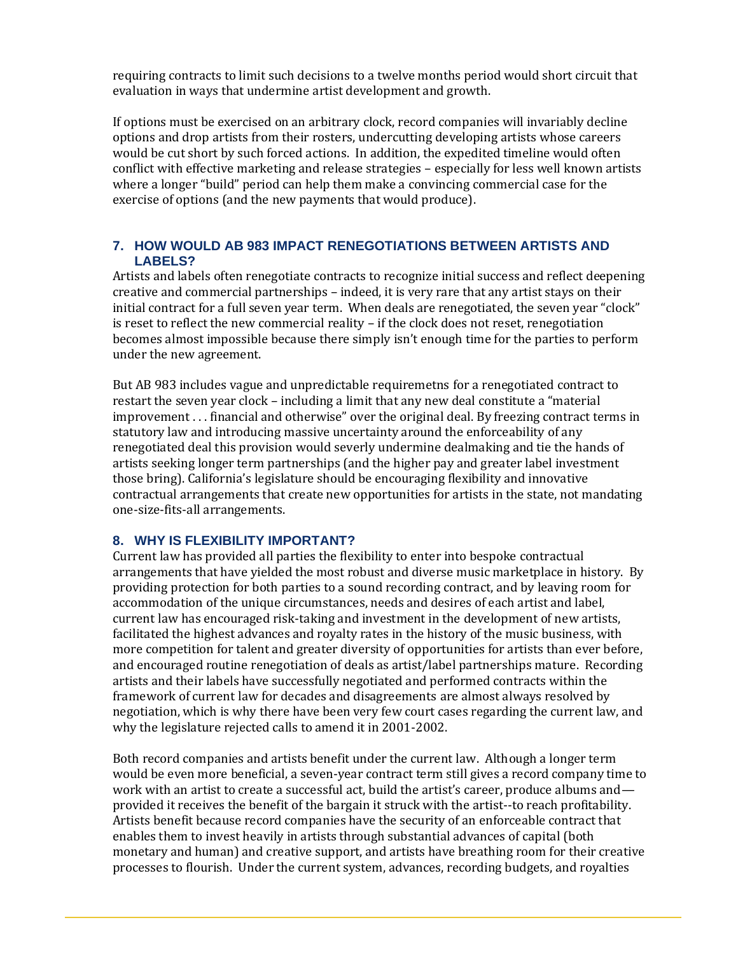requiring contracts to limit such decisions to a twelve months period would short circuit that evaluation in ways that undermine artist development and growth.

If options must be exercised on an arbitrary clock, record companies will invariably decline options and drop artists from their rosters, undercutting developing artists whose careers would be cut short by such forced actions. In addition, the expedited timeline would often conflict with effective marketing and release strategies – especially for less well known artists where a longer "build" period can help them make a convincing commercial case for the exercise of options (and the new payments that would produce).

### **7. HOW WOULD AB 983 IMPACT RENEGOTIATIONS BETWEEN ARTISTS AND LABELS?**

Artists and labels often renegotiate contracts to recognize initial success and reflect deepening creative and commercial partnerships – indeed, it is very rare that any artist stays on their initial contract for a full seven year term. When deals are renegotiated, the seven year "clock" is reset to reflect the new commercial reality – if the clock does not reset, renegotiation becomes almost impossible because there simply isn't enough time for the parties to perform under the new agreement.

But AB 983 includes vague and unpredictable requiremetns for a renegotiated contract to restart the seven year clock – including a limit that any new deal constitute a "material improvement . . . financial and otherwise" over the original deal. By freezing contract terms in statutory law and introducing massive uncertainty around the enforceability of any renegotiated deal this provision would severly undermine dealmaking and tie the hands of artists seeking longer term partnerships (and the higher pay and greater label investment those bring). California's legislature should be encouraging flexibility and innovative contractual arrangements that create new opportunities for artists in the state, not mandating one-size-fits-all arrangements.

### **8. WHY IS FLEXIBILITY IMPORTANT?**

l

Current law has provided all parties the flexibility to enter into bespoke contractual arrangements that have yielded the most robust and diverse music marketplace in history. By providing protection for both parties to a sound recording contract, and by leaving room for accommodation of the unique circumstances, needs and desires of each artist and label, current law has encouraged risk-taking and investment in the development of new artists, facilitated the highest advances and royalty rates in the history of the music business, with more competition for talent and greater diversity of opportunities for artists than ever before, and encouraged routine renegotiation of deals as artist/label partnerships mature. Recording artists and their labels have successfully negotiated and performed contracts within the framework of current law for decades and disagreements are almost always resolved by negotiation, which is why there have been very few court cases regarding the current law, and why the legislature rejected calls to amend it in 2001-2002.

Both record companies and artists benefit under the current law. Although a longer term would be even more beneficial, a seven-year contract term still gives a record company time to work with an artist to create a successful act, build the artist's career, produce albums and provided it receives the benefit of the bargain it struck with the artist--to reach profitability. Artists benefit because record companies have the security of an enforceable contract that enables them to invest heavily in artists through substantial advances of capital (both monetary and human) and creative support, and artists have breathing room for their creative processes to flourish. Under the current system, advances, recording budgets, and royalties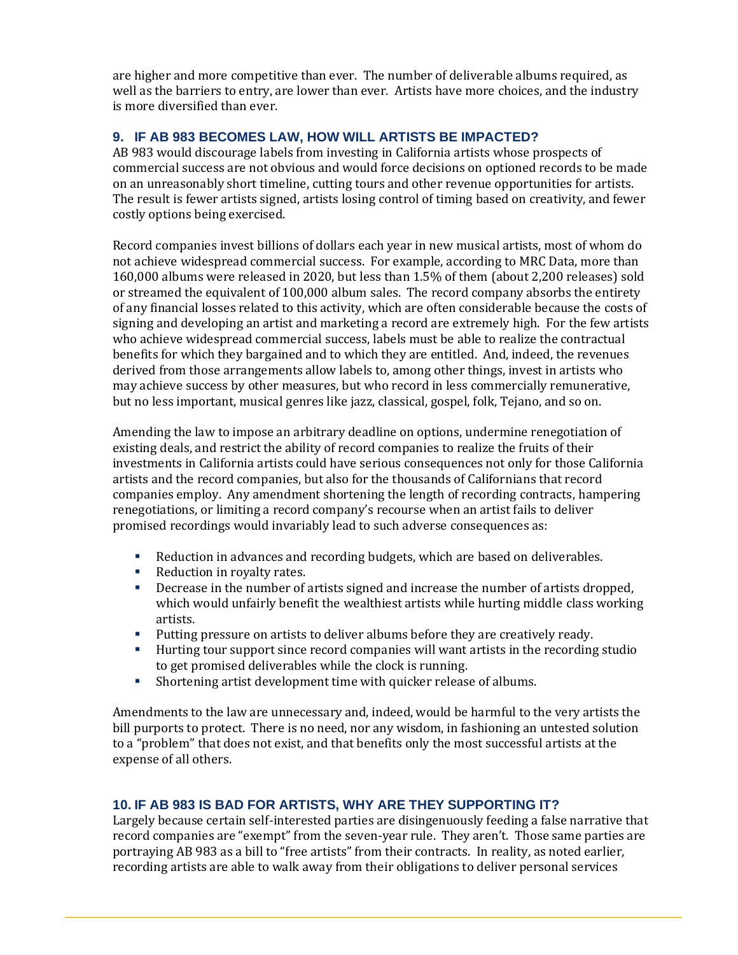are higher and more competitive than ever. The number of deliverable albums required, as well as the barriers to entry, are lower than ever. Artists have more choices, and the industry is more diversified than ever.

# **9. IF AB 983 BECOMES LAW, HOW WILL ARTISTS BE IMPACTED?**

AB 983 would discourage labels from investing in California artists whose prospects of commercial success are not obvious and would force decisions on optioned records to be made on an unreasonably short timeline, cutting tours and other revenue opportunities for artists. The result is fewer artists signed, artists losing control of timing based on creativity, and fewer costly options being exercised.

Record companies invest billions of dollars each year in new musical artists, most of whom do not achieve widespread commercial success. For example, according to MRC Data, more than 160,000 albums were released in 2020, but less than 1.5% of them (about 2,200 releases) sold or streamed the equivalent of 100,000 album sales. The record company absorbs the entirety of any financial losses related to this activity, which are often considerable because the costs of signing and developing an artist and marketing a record are extremely high. For the few artists who achieve widespread commercial success, labels must be able to realize the contractual benefits for which they bargained and to which they are entitled. And, indeed, the revenues derived from those arrangements allow labels to, among other things, invest in artists who may achieve success by other measures, but who record in less commercially remunerative, but no less important, musical genres like jazz, classical, gospel, folk, Tejano, and so on.

Amending the law to impose an arbitrary deadline on options, undermine renegotiation of existing deals, and restrict the ability of record companies to realize the fruits of their investments in California artists could have serious consequences not only for those California artists and the record companies, but also for the thousands of Californians that record companies employ. Any amendment shortening the length of recording contracts, hampering renegotiations, or limiting a record company's recourse when an artist fails to deliver promised recordings would invariably lead to such adverse consequences as:

- Reduction in advances and recording budgets, which are based on deliverables.
- Reduction in royalty rates.

l

- **Decrease in the number of artists signed and increase the number of artists dropped,** which would unfairly benefit the wealthiest artists while hurting middle class working artists.
- **•** Putting pressure on artists to deliver albums before they are creatively ready.
- Hurting tour support since record companies will want artists in the recording studio to get promised deliverables while the clock is running.
- Shortening artist development time with quicker release of albums.

Amendments to the law are unnecessary and, indeed, would be harmful to the very artists the bill purports to protect. There is no need, nor any wisdom, in fashioning an untested solution to a "problem" that does not exist, and that benefits only the most successful artists at the expense of all others.

# **10. IF AB 983 IS BAD FOR ARTISTS, WHY ARE THEY SUPPORTING IT?**

Largely because certain self-interested parties are disingenuously feeding a false narrative that record companies are "exempt" from the seven-year rule. They aren't. Those same parties are portraying AB 983 as a bill to "free artists" from their contracts. In reality, as noted earlier, recording artists are able to walk away from their obligations to deliver personal services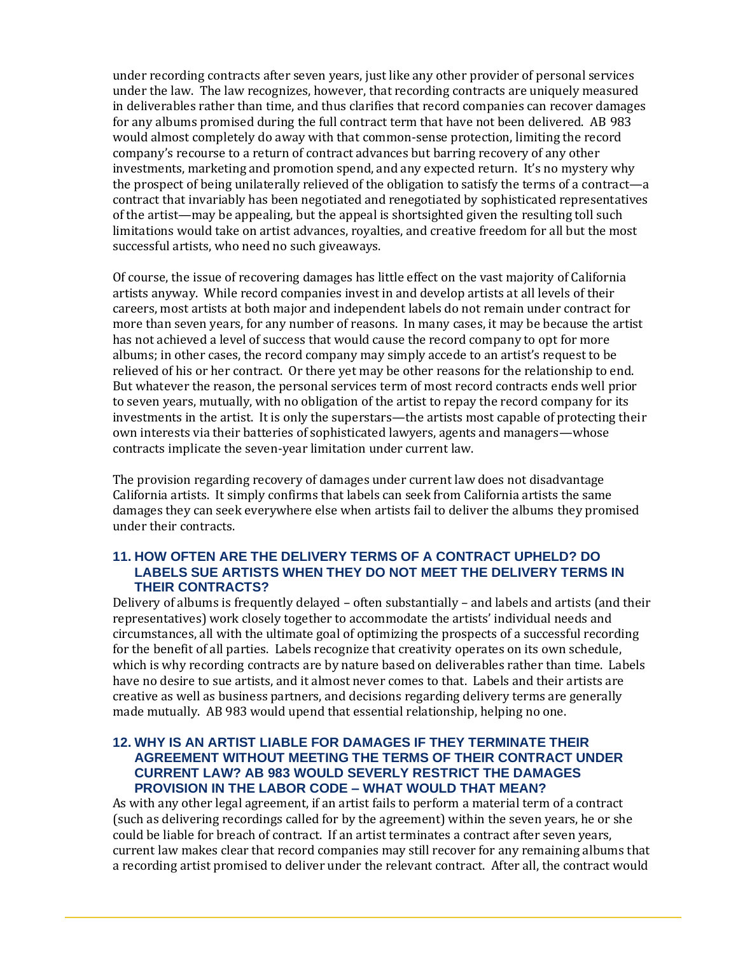under recording contracts after seven years, just like any other provider of personal services under the law. The law recognizes, however, that recording contracts are uniquely measured in deliverables rather than time, and thus clarifies that record companies can recover damages for any albums promised during the full contract term that have not been delivered. AB 983 would almost completely do away with that common-sense protection, limiting the record company's recourse to a return of contract advances but barring recovery of any other investments, marketing and promotion spend, and any expected return. It's no mystery why the prospect of being unilaterally relieved of the obligation to satisfy the terms of a contract—a contract that invariably has been negotiated and renegotiated by sophisticated representatives of the artist—may be appealing, but the appeal is shortsighted given the resulting toll such limitations would take on artist advances, royalties, and creative freedom for all but the most successful artists, who need no such giveaways.

Of course, the issue of recovering damages has little effect on the vast majority of California artists anyway. While record companies invest in and develop artists at all levels of their careers, most artists at both major and independent labels do not remain under contract for more than seven years, for any number of reasons. In many cases, it may be because the artist has not achieved a level of success that would cause the record company to opt for more albums; in other cases, the record company may simply accede to an artist's request to be relieved of his or her contract. Or there yet may be other reasons for the relationship to end. But whatever the reason, the personal services term of most record contracts ends well prior to seven years, mutually, with no obligation of the artist to repay the record company for its investments in the artist. It is only the superstars—the artists most capable of protecting their own interests via their batteries of sophisticated lawyers, agents and managers—whose contracts implicate the seven-year limitation under current law.

The provision regarding recovery of damages under current law does not disadvantage California artists. It simply confirms that labels can seek from California artists the same damages they can seek everywhere else when artists fail to deliver the albums they promised under their contracts.

### **11. HOW OFTEN ARE THE DELIVERY TERMS OF A CONTRACT UPHELD? DO LABELS SUE ARTISTS WHEN THEY DO NOT MEET THE DELIVERY TERMS IN THEIR CONTRACTS?**

Delivery of albums is frequently delayed – often substantially – and labels and artists (and their representatives) work closely together to accommodate the artists' individual needs and circumstances, all with the ultimate goal of optimizing the prospects of a successful recording for the benefit of all parties. Labels recognize that creativity operates on its own schedule, which is why recording contracts are by nature based on deliverables rather than time. Labels have no desire to sue artists, and it almost never comes to that. Labels and their artists are creative as well as business partners, and decisions regarding delivery terms are generally made mutually. AB 983 would upend that essential relationship, helping no one.

#### **12. WHY IS AN ARTIST LIABLE FOR DAMAGES IF THEY TERMINATE THEIR AGREEMENT WITHOUT MEETING THE TERMS OF THEIR CONTRACT UNDER CURRENT LAW? AB 983 WOULD SEVERLY RESTRICT THE DAMAGES PROVISION IN THE LABOR CODE – WHAT WOULD THAT MEAN?**

As with any other legal agreement, if an artist fails to perform a material term of a contract (such as delivering recordings called for by the agreement) within the seven years, he or she could be liable for breach of contract. If an artist terminates a contract after seven years, current law makes clear that record companies may still recover for any remaining albums that a recording artist promised to deliver under the relevant contract. After all, the contract would

l